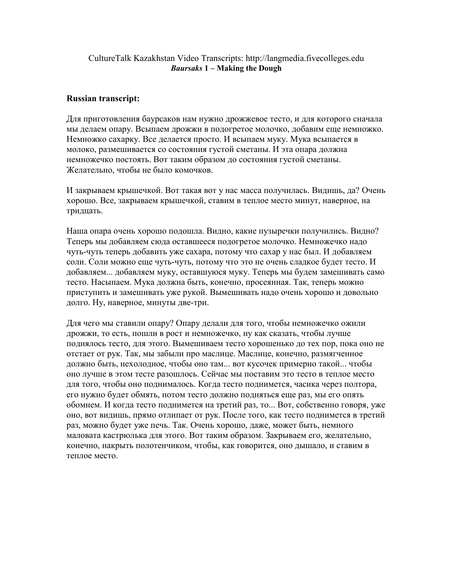## CultureTalk Kazakhstan Video Transcripts: http://langmedia.fivecolleges.edu Baursaks 1 – Making the Dough

## Russian transcript:

Для приготовления баурсаков нам нужно дрожжевое тесто, и для которого сначала мы делаем опару. Всыпаем дрожжи в подогретое молочко, добавим еще немножко. Немножко сахарку. Все делается просто. И всыпаем муку. Мука всыпается в молоко, размешивается со состояния густой сметаны. И эта опара должна немножечко постоять. Вот таким образом до состояния густой сметаны. Желательно, чтобы не было комочков.

И закрываем крышечкой. Вот такая вот у нас масса получилась. Видишь, да? Очень хорошо. Все, закрываем крышечкой, ставим в теплое место минут, наверное, на тридцать.

Наша опара очень хорошо подошла. Видно, какие пузыречки получились. Видно? Теперь мы добавляем сюда оставшееся подогретое молочко. Немножечко надо чуть-чуть теперь добавить уже сахара, потому что сахар у нас был. И добавляем соли. Соли можно еще чуть-чуть, потому что это не очень сладкое будет тесто. И добавляем... добавляем муку, оставшуюся муку. Теперь мы будем замешивать само тесто. Насыпаем. Мука должна быть, конечно, просеянная. Так, теперь можно приступить и замешивать уже рукой. Вымешивать надо очень хорошо и довольно долго. Ну, наверное, минуты две-три.

Для чего мы ставили опару? Опару делали для того, чтобы немножечко ожили дрожжи, то есть, пошли в рост и немножечко, ну как сказать, чтобы лучше поднялось тесто, для этого. Вымешиваем тесто хорошенько до тех пор, пока оно не отстает от рук. Так, мы забыли про маслице. Маслице, конечно, размягченное должно быть, нехолодное, чтобы оно там... вот кусочек примерно такой... чтобы оно лучше в этом тесте разошлось. Сейчас мы поставим это тесто в теплое место для того, чтобы оно поднималось. Когда тесто поднимется, часика через полтора, его нужно будет обмять, потом тесто должно подняться еще раз, мы его опять обомнем. И когда тесто поднимется на третий раз, то... Вот, собственно говоря, уже оно, вот видишь, прямо отлипает от рук. После того, как тесто поднимется в третий раз, можно будет уже печь. Так. Очень хорошо, даже, может быть, немного маловата кастрюлька для этого. Вот таким образом. Закрываем его, желательно, конечно, накрыть полотенчиком, чтобы, как говорится, оно дышало, и ставим в теплое место.